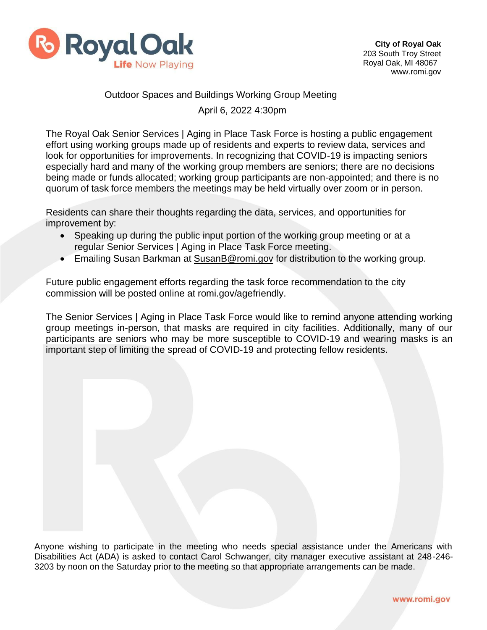

## Outdoor Spaces and Buildings Working Group Meeting April 6, 2022 4:30pm

The Royal Oak Senior Services | Aging in Place Task Force is hosting a public engagement effort using working groups made up of residents and experts to review data, services and look for opportunities for improvements. In recognizing that COVID-19 is impacting seniors especially hard and many of the working group members are seniors; there are no decisions being made or funds allocated; working group participants are non-appointed; and there is no quorum of task force members the meetings may be held virtually over zoom or in person.

Residents can share their thoughts regarding the data, services, and opportunities for improvement by:

- Speaking up during the public input portion of the working group meeting or at a regular Senior Services | Aging in Place Task Force meeting.
- Emailing Susan Barkman at [SusanB@romi.gov](mailto:SusanB@romi.gov) for distribution to the working group.

Future public engagement efforts regarding the task force recommendation to the city commission will be posted online at romi.gov/agefriendly.

The Senior Services | Aging in Place Task Force would like to remind anyone attending working group meetings in-person, that masks are required in city facilities. Additionally, many of our participants are seniors who may be more susceptible to COVID-19 and wearing masks is an important step of limiting the spread of COVID-19 and protecting fellow residents.

Anyone wishing to participate in the meeting who needs special assistance under the Americans with Disabilities Act (ADA) is asked to contact Carol Schwanger, city manager executive assistant at 248-246- 3203 by noon on the Saturday prior to the meeting so that appropriate arrangements can be made.